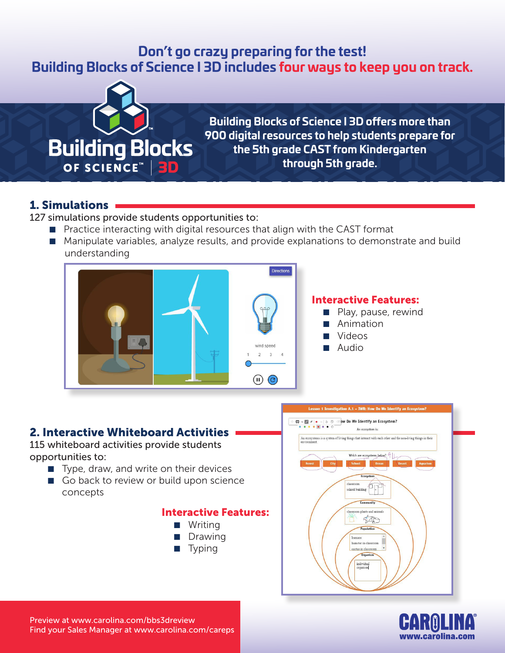# **Don't go crazy preparing for the test! Building Blocks of Science I 3D includes four ways to keep you on track.**



**Building Blocks of Science I 3D offers more than 900 digital resources to help students prepare for the 5th grade CAST from Kindergarten through 5th grade.**

### 1. Simulations

127 simulations provide students opportunities to:

- Practice interacting with digital resources that align with the CAST format
- Manipulate variables, analyze results, and provide explanations to demonstrate and build understanding



### 2. Interactive Whiteboard Activities

115 whiteboard activities provide students opportunities to:

- Type, draw, and write on their devices
- Go back to review or build upon science concepts

#### Interactive Features:







Preview at www.carolina.com/bbs3dreview Find your Sales Manager at www.carolina.com/careps